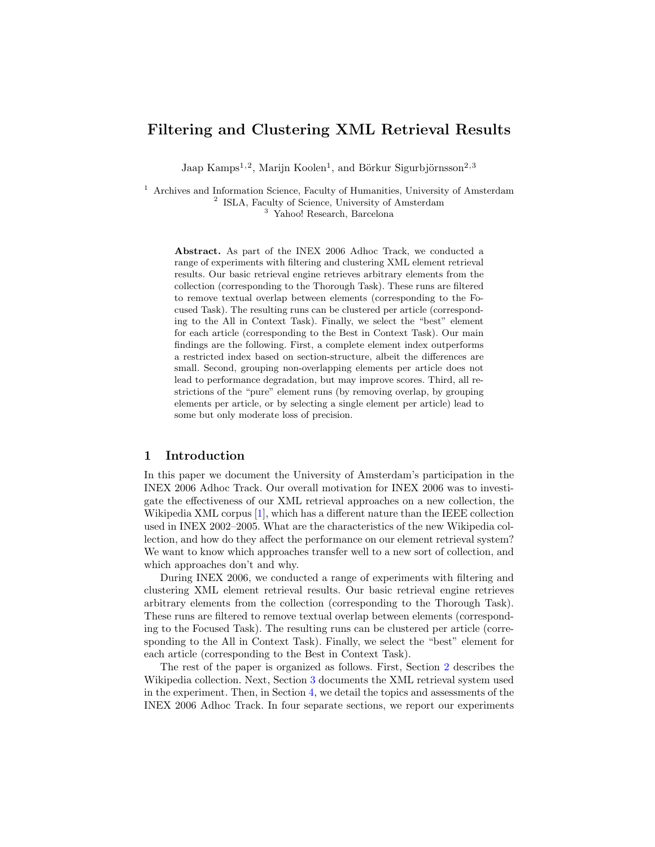# Filtering and Clustering XML Retrieval Results

Jaap Kamps<sup>1,2</sup>, Marijn Koolen<sup>1</sup>, and Börkur Sigurbjörnsson<sup>2,3</sup>

<sup>1</sup> Archives and Information Science, Faculty of Humanities, University of Amsterdam <sup>2</sup> ISLA, Faculty of Science, University of Amsterdam <sup>3</sup> Yahoo! Research, Barcelona

Abstract. As part of the INEX 2006 Adhoc Track, we conducted a range of experiments with filtering and clustering XML element retrieval results. Our basic retrieval engine retrieves arbitrary elements from the collection (corresponding to the Thorough Task). These runs are filtered to remove textual overlap between elements (corresponding to the Focused Task). The resulting runs can be clustered per article (corresponding to the All in Context Task). Finally, we select the "best" element for each article (corresponding to the Best in Context Task). Our main findings are the following. First, a complete element index outperforms a restricted index based on section-structure, albeit the differences are small. Second, grouping non-overlapping elements per article does not lead to performance degradation, but may improve scores. Third, all restrictions of the "pure" element runs (by removing overlap, by grouping elements per article, or by selecting a single element per article) lead to some but only moderate loss of precision.

### 1 Introduction

In this paper we document the University of Amsterdam's participation in the INEX 2006 Adhoc Track. Our overall motivation for INEX 2006 was to investigate the effectiveness of our XML retrieval approaches on a new collection, the Wikipedia XML corpus [\[1\]](#page-14-0), which has a different nature than the IEEE collection used in INEX 2002–2005. What are the characteristics of the new Wikipedia collection, and how do they affect the performance on our element retrieval system? We want to know which approaches transfer well to a new sort of collection, and which approaches don't and why.

During INEX 2006, we conducted a range of experiments with filtering and clustering XML element retrieval results. Our basic retrieval engine retrieves arbitrary elements from the collection (corresponding to the Thorough Task). These runs are filtered to remove textual overlap between elements (corresponding to the Focused Task). The resulting runs can be clustered per article (corresponding to the All in Context Task). Finally, we select the "best" element for each article (corresponding to the Best in Context Task).

The rest of the paper is organized as follows. First, Section [2](#page-1-0) describes the Wikipedia collection. Next, Section [3](#page-3-0) documents the XML retrieval system used in the experiment. Then, in Section [4,](#page-4-0) we detail the topics and assessments of the INEX 2006 Adhoc Track. In four separate sections, we report our experiments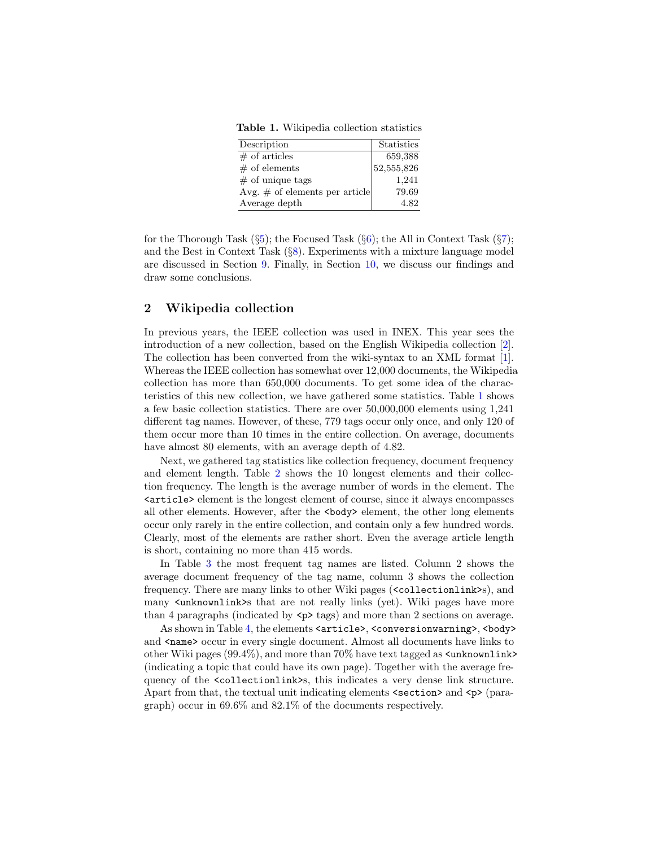<span id="page-1-1"></span>Table 1. Wikipedia collection statistics

| Description                       | <b>Statistics</b> |
|-----------------------------------|-------------------|
| $\#$ of articles                  | 659,388           |
| $#$ of elements                   | 52,555,826        |
| $\#$ of unique tags               | 1,241             |
| Avg. $\#$ of elements per article | 79.69             |
| Average depth                     | 4.82              |

for the Thorough Task  $(\S_5)$  $(\S_5)$ ; the Focused Task  $(\S_6)$  $(\S_6)$ ; the All in Context Task  $(\S_7)$  $(\S_7)$ ; and the Best in Context Task  $(\S 8)$  $(\S 8)$ . Experiments with a mixture language model are discussed in Section [9.](#page-12-0) Finally, in Section [10,](#page-13-0) we discuss our findings and draw some conclusions.

# <span id="page-1-0"></span>2 Wikipedia collection

In previous years, the IEEE collection was used in INEX. This year sees the introduction of a new collection, based on the English Wikipedia collection [\[2\]](#page-14-1). The collection has been converted from the wiki-syntax to an XML format [\[1\]](#page-14-0). Whereas the IEEE collection has somewhat over 12,000 documents, the Wikipedia collection has more than 650,000 documents. To get some idea of the characteristics of this new collection, we have gathered some statistics. Table [1](#page-1-1) shows a few basic collection statistics. There are over 50,000,000 elements using 1,241 different tag names. However, of these, 779 tags occur only once, and only 120 of them occur more than 10 times in the entire collection. On average, documents have almost 80 elements, with an average depth of 4.82.

Next, we gathered tag statistics like collection frequency, document frequency and element length. Table [2](#page-2-0) shows the 10 longest elements and their collection frequency. The length is the average number of words in the element. The <article> element is the longest element of course, since it always encompasses all other elements. However, after the <br/>body> element, the other long elements occur only rarely in the entire collection, and contain only a few hundred words. Clearly, most of the elements are rather short. Even the average article length is short, containing no more than 415 words.

In Table [3](#page-2-1) the most frequent tag names are listed. Column 2 shows the average document frequency of the tag name, column 3 shows the collection frequency. There are many links to other Wiki pages (<collectionlink>s), and many <unknownlink>s that are not really links (yet). Wiki pages have more than 4 paragraphs (indicated by  $\langle p \rangle$  tags) and more than 2 sections on average.

As shown in Table [4,](#page-2-2) the elements <article>, <conversionwarning>, <br/>body> and <name> occur in every single document. Almost all documents have links to other Wiki pages  $(99.4\%)$ , and more than 70% have text tagged as  $\langle$ unknownlink> (indicating a topic that could have its own page). Together with the average frequency of the <collectionlink>s, this indicates a very dense link structure. Apart from that, the textual unit indicating elements <section> and <p> (paragraph) occur in 69.6% and 82.1% of the documents respectively.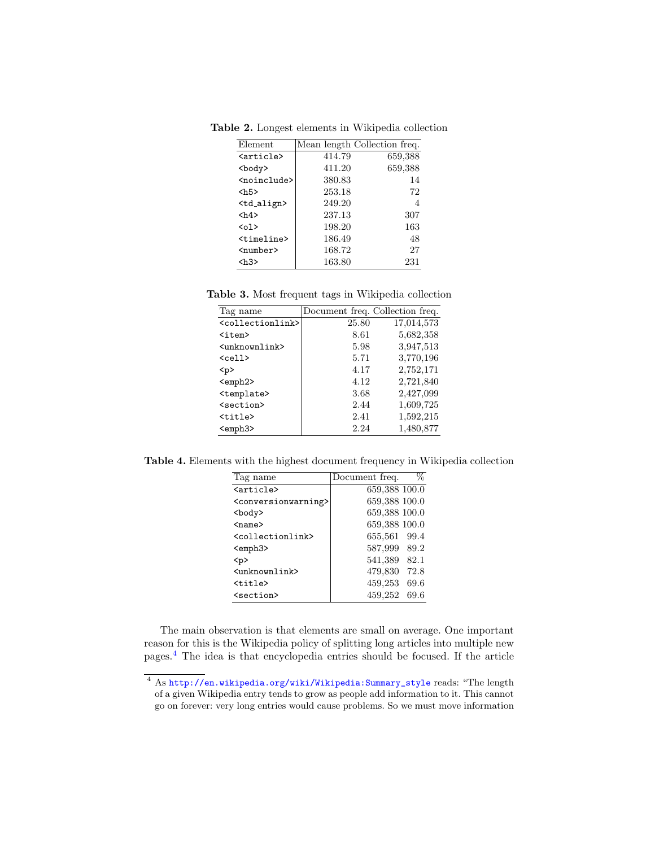|  |  |  |  | <b>Table 2.</b> Longest elements in Wikipedia collection |  |
|--|--|--|--|----------------------------------------------------------|--|
|--|--|--|--|----------------------------------------------------------|--|

<span id="page-2-0"></span>

| Element                 |        | Mean length Collection freq. |
|-------------------------|--------|------------------------------|
| <article></article>     | 414.79 | 659,388                      |
| <body></body>           | 411.20 | 659,388                      |
| <noinclude></noinclude> | 380.83 | 14                           |
| $<$ h5>                 | 253.18 | 72                           |
| <td_align></td_align>   | 249.20 | 4                            |
| $\langle h4 \rangle$    | 237.13 | 307                          |
| <۱۵>                    | 198.20 | 163                          |
| <timeline></timeline>   | 186.49 | 48                           |
| $number$                | 168.72 | 27                           |
| <h3></h3>               | 163.80 | 231                          |

Table 3. Most frequent tags in Wikipedia collection

<span id="page-2-1"></span>

| Tag name                          | Document freq. Collection freq. |            |
|-----------------------------------|---------------------------------|------------|
| <collectionlink></collectionlink> | 25.80                           | 17,014,573 |
| $\texttt{item}$                   | 8.61                            | 5,682,358  |
| <unknownlink></unknownlink>       | 5.98                            | 3,947,513  |
| $cell$                            | 5.71                            | 3,770,196  |
| < p                               | 4.17                            | 2,752,171  |
| <emph2></emph2>                   | 4.12                            | 2,721,840  |
| <template></template>             | 3.68                            | 2,427,099  |
| <section></section>               | 2.44                            | 1,609,725  |
| <title></title>                   | 2.41                            | 1,592,215  |
| <emph3></emph3>                   | 2.24                            | 1,480,877  |

<span id="page-2-2"></span>Table 4. Elements with the highest document frequency in Wikipedia collection

| Tag name                                | Document freq. | %    |
|-----------------------------------------|----------------|------|
| <article></article>                     | 659,388 100.0  |      |
| <conversionwarning></conversionwarning> | 659,388 100.0  |      |
| <body></body>                           | 659,388 100.0  |      |
| $name$                                  | 659,388 100.0  |      |
| <collectionlink></collectionlink>       | 655,561 99.4   |      |
| <emph3></emph3>                         | 587,999 89.2   |      |
| < p                                     | 541,389 82.1   |      |
| <unknownlink></unknownlink>             | 479,830        | 72.8 |
| <title></title>                         | 459,253        | 69.6 |
| <section></section>                     | 459,252        | 69.6 |

The main observation is that elements are small on average. One important reason for this is the Wikipedia policy of splitting long articles into multiple new pages.[4](#page-2-3) The idea is that encyclopedia entries should be focused. If the article

<span id="page-2-3"></span><sup>4</sup> As [http://en.wikipedia.org/wiki/Wikipedia:Summary\\_style](http://en.wikipedia.org/wiki/Wikipedia:Summary_style) reads: "The length of a given Wikipedia entry tends to grow as people add information to it. This cannot go on forever: very long entries would cause problems. So we must move information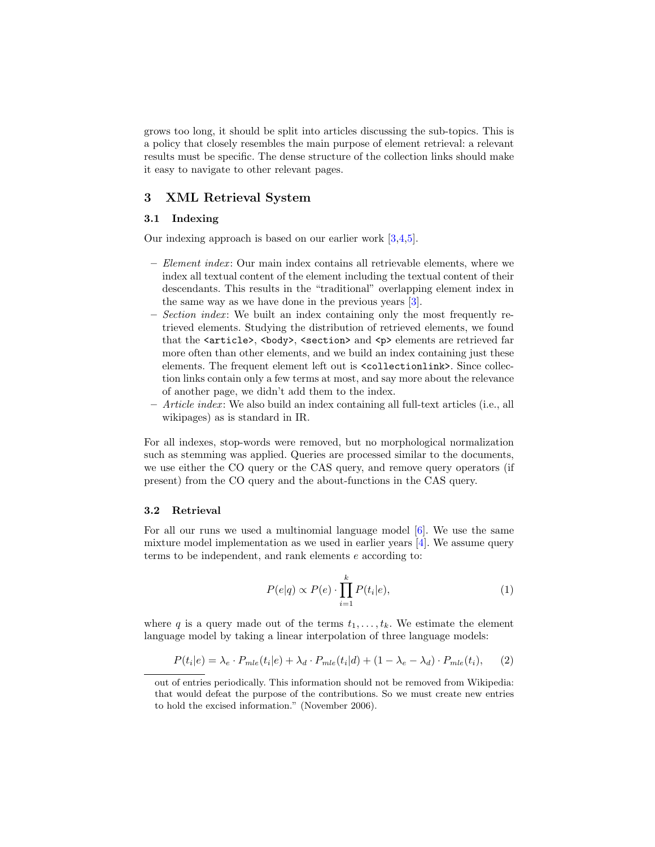grows too long, it should be split into articles discussing the sub-topics. This is a policy that closely resembles the main purpose of element retrieval: a relevant results must be specific. The dense structure of the collection links should make it easy to navigate to other relevant pages.

# <span id="page-3-0"></span>3 XML Retrieval System

#### 3.1 Indexing

Our indexing approach is based on our earlier work [\[3](#page-14-2)[,4,](#page-14-3)[5\]](#page-14-4).

- Element index : Our main index contains all retrievable elements, where we index all textual content of the element including the textual content of their descendants. This results in the "traditional" overlapping element index in the same way as we have done in the previous years [\[3\]](#page-14-2).
- Section index : We built an index containing only the most frequently retrieved elements. Studying the distribution of retrieved elements, we found that the <article>, <br/>body>, <section> and <p> elements are retrieved far more often than other elements, and we build an index containing just these elements. The frequent element left out is <collectionlink>. Since collection links contain only a few terms at most, and say more about the relevance of another page, we didn't add them to the index.
- Article index : We also build an index containing all full-text articles (i.e., all wikipages) as is standard in IR.

For all indexes, stop-words were removed, but no morphological normalization such as stemming was applied. Queries are processed similar to the documents, we use either the CO query or the CAS query, and remove query operators (if present) from the CO query and the about-functions in the CAS query.

#### 3.2 Retrieval

For all our runs we used a multinomial language model [\[6\]](#page-14-5). We use the same mixture model implementation as we used in earlier years [\[4\]](#page-14-3). We assume query terms to be independent, and rank elements e according to:

$$
P(e|q) \propto P(e) \cdot \prod_{i=1}^{k} P(t_i|e), \tag{1}
$$

where q is a query made out of the terms  $t_1, \ldots, t_k$ . We estimate the element language model by taking a linear interpolation of three language models:

$$
P(t_i|e) = \lambda_e \cdot P_{mle}(t_i|e) + \lambda_d \cdot P_{mle}(t_i|d) + (1 - \lambda_e - \lambda_d) \cdot P_{mle}(t_i), \tag{2}
$$

out of entries periodically. This information should not be removed from Wikipedia: that would defeat the purpose of the contributions. So we must create new entries to hold the excised information." (November 2006).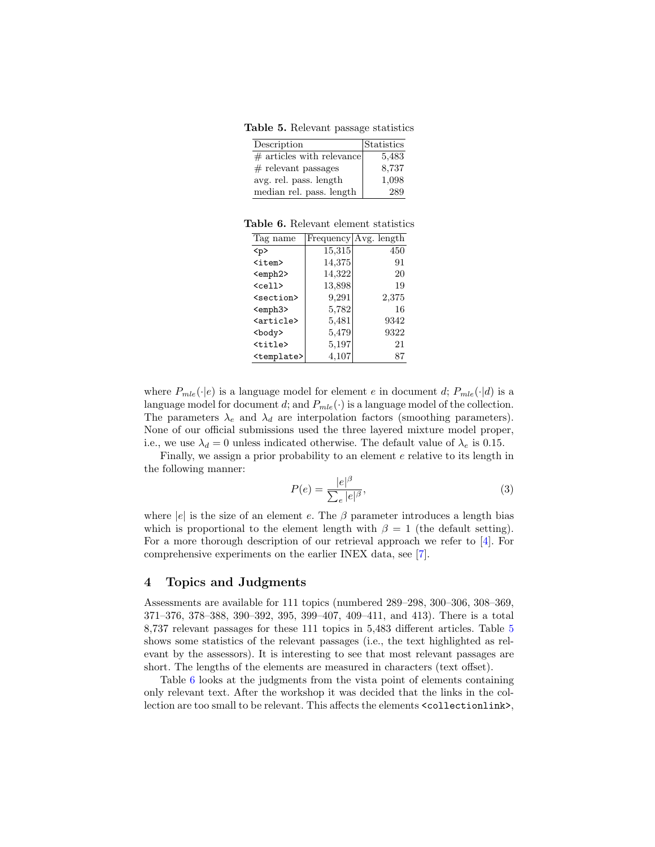Table 5. Relevant passage statistics

<span id="page-4-1"></span>

| Description                 | Statistics |
|-----------------------------|------------|
| $#$ articles with relevance | 5,483      |
| $#$ relevant passages       | 8,737      |
| avg. rel. pass. length      | 1,098      |
| median rel. pass. length    | 289        |

<span id="page-4-2"></span>

| Tag name              |        | Frequency   Avg. length |
|-----------------------|--------|-------------------------|
| < p >                 | 15,315 | 450                     |
| $\texttt{item}$       | 14,375 | 91                      |
| <emph2></emph2>       | 14,322 | 20                      |
| $cell$                | 13,898 | 19                      |
| <section></section>   | 9,291  | 2,375                   |
| <emph3></emph3>       | 5,782  | 16                      |
| <article></article>   | 5,481  | 9342                    |
| <body></body>         | 5,479  | 9322                    |
| <title></title>       | 5,197  | 21                      |
| <template></template> | 4,107  | 87                      |

where  $P_{mle}(\cdot|e)$  is a language model for element e in document d;  $P_{mle}(\cdot|d)$  is a language model for document d; and  $P_{mle}(\cdot)$  is a language model of the collection. The parameters  $\lambda_e$  and  $\lambda_d$  are interpolation factors (smoothing parameters). None of our official submissions used the three layered mixture model proper, i.e., we use  $\lambda_d = 0$  unless indicated otherwise. The default value of  $\lambda_e$  is 0.15.

Finally, we assign a prior probability to an element e relative to its length in the following manner:  $\overline{a}$ 

$$
P(e) = \frac{|e|^{\beta}}{\sum_{e} |e|^{\beta}},\tag{3}
$$

where  $|e|$  is the size of an element e. The  $\beta$  parameter introduces a length bias which is proportional to the element length with  $\beta = 1$  (the default setting). For a more thorough description of our retrieval approach we refer to [\[4\]](#page-14-3). For comprehensive experiments on the earlier INEX data, see [\[7\]](#page-14-6).

# <span id="page-4-0"></span>4 Topics and Judgments

Assessments are available for 111 topics (numbered 289–298, 300–306, 308–369, 371–376, 378–388, 390–392, 395, 399–407, 409–411, and 413). There is a total 8,737 relevant passages for these 111 topics in 5,483 different articles. Table [5](#page-4-1) shows some statistics of the relevant passages (i.e., the text highlighted as relevant by the assessors). It is interesting to see that most relevant passages are short. The lengths of the elements are measured in characters (text offset).

Table [6](#page-4-2) looks at the judgments from the vista point of elements containing only relevant text. After the workshop it was decided that the links in the collection are too small to be relevant. This affects the elements <collectionlink>,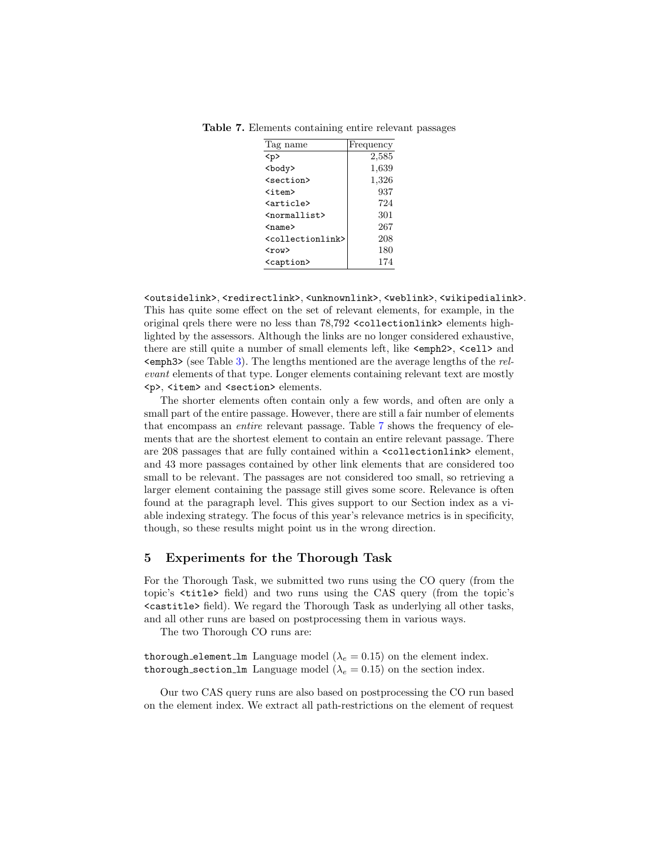<span id="page-5-1"></span>

| Tag name                          | Frequency |
|-----------------------------------|-----------|
| < p >                             | 2,585     |
| <body></body>                     | 1,639     |
| <section></section>               | 1,326     |
| <item></item>                     | 937       |
| <article></article>               | 724       |
| $normallist$                      | 301       |
| $name$                            | 267       |
| <collectionlink></collectionlink> | 208       |
| $<$ row $>$                       | 180       |
| <caption></caption>               | 174       |

Table 7. Elements containing entire relevant passages

<outsidelink>, <redirectlink>, <unknownlink>, <weblink>, <wikipedialink>. This has quite some effect on the set of relevant elements, for example, in the original qrels there were no less than 78,792 <collectionlink> elements highlighted by the assessors. Although the links are no longer considered exhaustive, there are still quite a number of small elements left, like  $\langle \text{empty}, \rangle$ ,  $\langle \text{cell} \rangle$  and  $\epsilon$  (see Table [3\)](#page-2-1). The lengths mentioned are the average lengths of the relevant elements of that type. Longer elements containing relevant text are mostly <p>, <item> and <section> elements.

The shorter elements often contain only a few words, and often are only a small part of the entire passage. However, there are still a fair number of elements that encompass an entire relevant passage. Table [7](#page-5-1) shows the frequency of elements that are the shortest element to contain an entire relevant passage. There are 208 passages that are fully contained within a <collectionlink> element, and 43 more passages contained by other link elements that are considered too small to be relevant. The passages are not considered too small, so retrieving a larger element containing the passage still gives some score. Relevance is often found at the paragraph level. This gives support to our Section index as a viable indexing strategy. The focus of this year's relevance metrics is in specificity, though, so these results might point us in the wrong direction.

# <span id="page-5-0"></span>5 Experiments for the Thorough Task

For the Thorough Task, we submitted two runs using the CO query (from the topic's <title> field) and two runs using the CAS query (from the topic's <castitle> field). We regard the Thorough Task as underlying all other tasks, and all other runs are based on postprocessing them in various ways.

The two Thorough CO runs are:

thorough element lm Language model ( $\lambda_e = 0.15$ ) on the element index. thorough section lm Language model ( $\lambda_e = 0.15$ ) on the section index.

Our two CAS query runs are also based on postprocessing the CO run based on the element index. We extract all path-restrictions on the element of request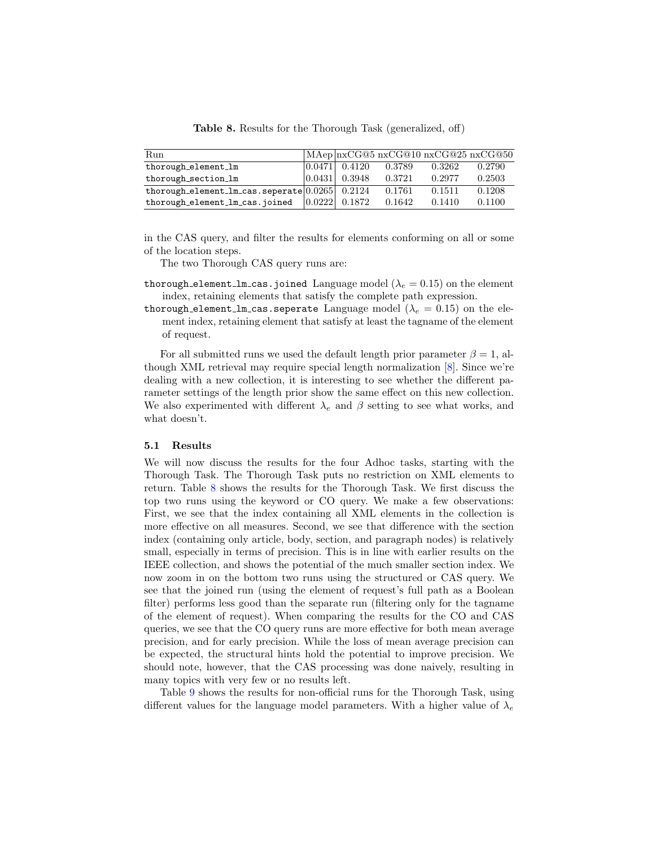<span id="page-6-0"></span>Table 8. Results for the Thorough Task (generalized, off)

| Run                                                |        |        |        |        | MAep nxCG@5 nxCG@10 nxCG@25 nxCG@50 |
|----------------------------------------------------|--------|--------|--------|--------|-------------------------------------|
| thorough_element_lm                                | 0.0471 | 0.4120 | 0.3789 | 0.3262 | 0.2790                              |
| thorough_section_1m                                | 0.0431 | 0.3948 | 0.3721 | 0.2977 | 0.2503                              |
| thorough_element_lm_cas.seperate $ 0.0265 $ 0.2124 |        |        | 0.1761 | 0.1511 | 0.1208                              |
| thorough_element_lm_cas.joined                     | 0.0222 | 0.1872 | 0.1642 | 0.1410 | 0.1100                              |

in the CAS query, and filter the results for elements conforming on all or some of the location steps.

The two Thorough CAS query runs are:

- thorough element lm cas. joined Language model ( $\lambda_e = 0.15$ ) on the element index, retaining elements that satisfy the complete path expression.
- thorough element lm cas. seperate Language model ( $\lambda_e = 0.15$ ) on the element index, retaining element that satisfy at least the tagname of the element of request.

For all submitted runs we used the default length prior parameter  $\beta = 1$ , although XML retrieval may require special length normalization [\[8\]](#page-14-7). Since we're dealing with a new collection, it is interesting to see whether the different parameter settings of the length prior show the same effect on this new collection. We also experimented with different  $\lambda_e$  and  $\beta$  setting to see what works, and what doesn't.

### 5.1 Results

We will now discuss the results for the four Adhoc tasks, starting with the Thorough Task. The Thorough Task puts no restriction on XML elements to return. Table [8](#page-6-0) shows the results for the Thorough Task. We first discuss the top two runs using the keyword or CO query. We make a few observations: First, we see that the index containing all XML elements in the collection is more effective on all measures. Second, we see that difference with the section index (containing only article, body, section, and paragraph nodes) is relatively small, especially in terms of precision. This is in line with earlier results on the IEEE collection, and shows the potential of the much smaller section index. We now zoom in on the bottom two runs using the structured or CAS query. We see that the joined run (using the element of request's full path as a Boolean filter) performs less good than the separate run (filtering only for the tagname of the element of request). When comparing the results for the CO and CAS queries, we see that the CO query runs are more effective for both mean average precision, and for early precision. While the loss of mean average precision can be expected, the structural hints hold the potential to improve precision. We should note, however, that the CAS processing was done naively, resulting in many topics with very few or no results left.

Table [9](#page-7-0) shows the results for non-official runs for the Thorough Task, using different values for the language model parameters. With a higher value of  $\lambda_e$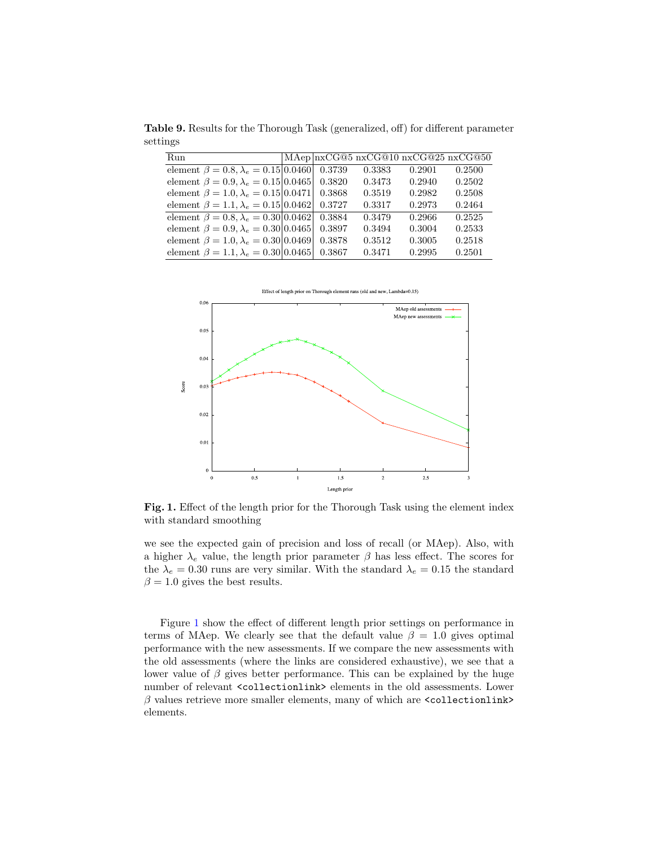Table 9. Results for the Thorough Task (generalized, off) for different parameter settings

<span id="page-7-0"></span>

| Run                                                |        |        | MAep nxCG@5 nxCG@10 nxCG@25 nxCG@50 |        |
|----------------------------------------------------|--------|--------|-------------------------------------|--------|
| element $\beta = 0.8, \lambda_e = 0.15  0.0460 $   | 0.3739 | 0.3383 | 0.2901                              | 0.2500 |
| element $\beta = 0.9, \lambda_e = 0.15   0.0465  $ | 0.3820 | 0.3473 | 0.2940                              | 0.2502 |
| element $\beta = 1.0, \lambda_e = 0.15  0.0471 $   | 0.3868 | 0.3519 | 0.2982                              | 0.2508 |
| element $\beta = 1.1, \lambda_e = 0.15   0.0462  $ | 0.3727 | 0.3317 | 0.2973                              | 0.2464 |
| element $\beta = 0.8, \lambda_e = 0.30   0.0462  $ | 0.3884 | 0.3479 | 0.2966                              | 0.2525 |
| element $\beta = 0.9, \lambda_e = 0.30  0.0465 $   | 0.3897 | 0.3494 | 0.3004                              | 0.2533 |
| element $\beta = 1.0, \lambda_e = 0.30  0.0469 $   | 0.3878 | 0.3512 | 0.3005                              | 0.2518 |
| element $\beta = 1.1, \lambda_e = 0.30  0.0465 $   | 0.3867 | 0.3471 | 0.2995                              | 0.2501 |



<span id="page-7-1"></span>Fig. 1. Effect of the length prior for the Thorough Task using the element index with standard smoothing

we see the expected gain of precision and loss of recall (or MAep). Also, with a higher  $\lambda_e$  value, the length prior parameter  $\beta$  has less effect. The scores for the  $\lambda_e = 0.30$  runs are very similar. With the standard  $\lambda_e = 0.15$  the standard  $\beta = 1.0$  gives the best results.

Figure [1](#page-7-1) show the effect of different length prior settings on performance in terms of MAep. We clearly see that the default value  $\beta = 1.0$  gives optimal performance with the new assessments. If we compare the new assessments with the old assessments (where the links are considered exhaustive), we see that a lower value of  $\beta$  gives better performance. This can be explained by the huge number of relevant <collectionlink> elements in the old assessments. Lower  $\beta$  values retrieve more smaller elements, many of which are  $\alpha$ -collectionlink> elements.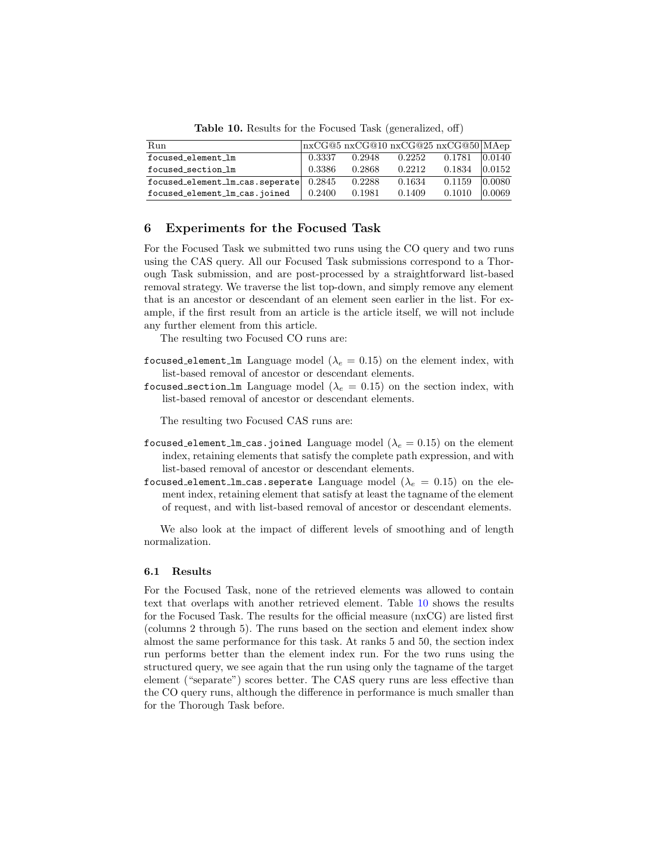<span id="page-8-1"></span>Table 10. Results for the Focused Task (generalized, off)

| Run                             |        |        |        | $\left \max_{\text{CG}}\right $ nxCG@10 nxCG@25 nxCG@50 MAep |                  |
|---------------------------------|--------|--------|--------|--------------------------------------------------------------|------------------|
| focused_element_lm              | 0.3337 | 0.2948 | 0.2252 | 0.1781                                                       | 0.0140           |
| focused_section_1m              | 0.3386 | 0.2868 | 0.2212 | 0.1834                                                       | 0.0152           |
| focused_element_lm_cas.seperate | 0.2845 | 0.2288 | 0.1634 | 0.1159                                                       | 0.0080           |
| focused_element_lm_cas.joined   | 0.2400 | 0.1981 | 0.1409 | 0.1010                                                       | $ 0.0069\rangle$ |

# <span id="page-8-0"></span>6 Experiments for the Focused Task

For the Focused Task we submitted two runs using the CO query and two runs using the CAS query. All our Focused Task submissions correspond to a Thorough Task submission, and are post-processed by a straightforward list-based removal strategy. We traverse the list top-down, and simply remove any element that is an ancestor or descendant of an element seen earlier in the list. For example, if the first result from an article is the article itself, we will not include any further element from this article.

The resulting two Focused CO runs are:

- focused element lm Language model ( $\lambda_e = 0.15$ ) on the element index, with list-based removal of ancestor or descendant elements.
- focused section lm Language model ( $\lambda_e = 0.15$ ) on the section index, with list-based removal of ancestor or descendant elements.

The resulting two Focused CAS runs are:

- focused element lm cas.joined Language model ( $\lambda_e = 0.15$ ) on the element index, retaining elements that satisfy the complete path expression, and with list-based removal of ancestor or descendant elements.
- focused element lm cas. seperate Language model  $(\lambda_e = 0.15)$  on the element index, retaining element that satisfy at least the tagname of the element of request, and with list-based removal of ancestor or descendant elements.

We also look at the impact of different levels of smoothing and of length normalization.

#### 6.1 Results

For the Focused Task, none of the retrieved elements was allowed to contain text that overlaps with another retrieved element. Table [10](#page-8-1) shows the results for the Focused Task. The results for the official measure (nxCG) are listed first (columns 2 through 5). The runs based on the section and element index show almost the same performance for this task. At ranks 5 and 50, the section index run performs better than the element index run. For the two runs using the structured query, we see again that the run using only the tagname of the target element ("separate") scores better. The CAS query runs are less effective than the CO query runs, although the difference in performance is much smaller than for the Thorough Task before.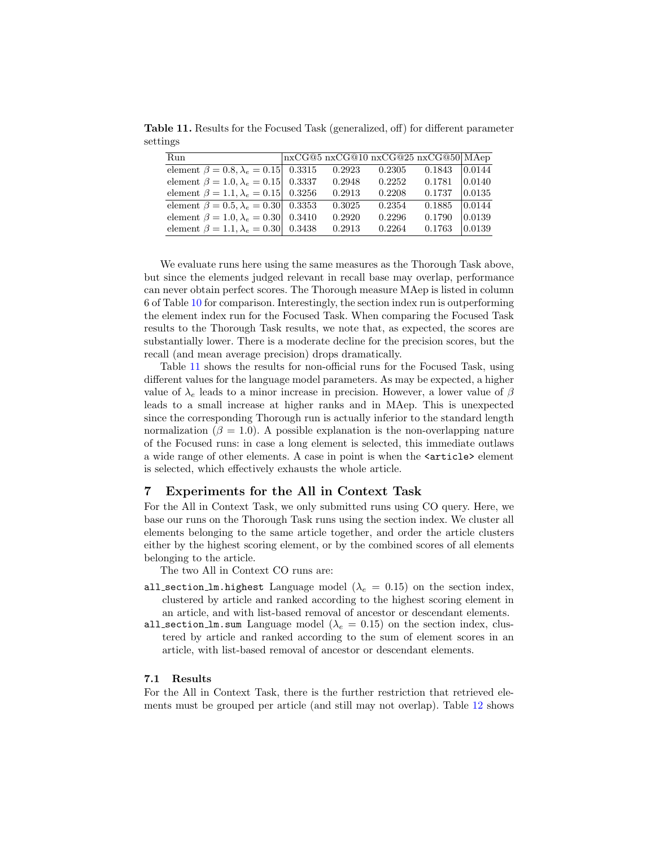Table 11. Results for the Focused Task (generalized, off) for different parameter settings

<span id="page-9-1"></span>

| Run                                            |        |        | $n \times CG@5$ $n \times CG@10$ $n \times CG@25$ $n \times CG@50$ $MAep$ |        |
|------------------------------------------------|--------|--------|---------------------------------------------------------------------------|--------|
| element $\beta = 0.8, \lambda_e = 0.15$ 0.3315 | 0.2923 | 0.2305 | 0.1843                                                                    | 0.0144 |
| element $\beta = 1.0, \lambda_e = 0.15$ 0.3337 | 0.2948 | 0.2252 | 0.1781                                                                    | 0.0140 |
| element $\beta = 1.1, \lambda_e = 0.15$ 0.3256 | 0.2913 | 0.2208 | 0.1737                                                                    | 0.0135 |
| element $\beta = 0.5, \lambda_e = 0.30$ 0.3353 | 0.3025 | 0.2354 | 0.1885                                                                    | 0.0144 |
| element $\beta = 1.0, \lambda_e = 0.30$ 0.3410 | 0.2920 | 0.2296 | 0.1790                                                                    | 0.0139 |
| element $\beta = 1.1, \lambda_e = 0.30$ 0.3438 | 0.2913 | 0.2264 | 0.1763                                                                    | 0.0139 |

We evaluate runs here using the same measures as the Thorough Task above, but since the elements judged relevant in recall base may overlap, performance can never obtain perfect scores. The Thorough measure MAep is listed in column 6 of Table [10](#page-8-1) for comparison. Interestingly, the section index run is outperforming the element index run for the Focused Task. When comparing the Focused Task results to the Thorough Task results, we note that, as expected, the scores are substantially lower. There is a moderate decline for the precision scores, but the recall (and mean average precision) drops dramatically.

Table [11](#page-9-1) shows the results for non-official runs for the Focused Task, using different values for the language model parameters. As may be expected, a higher value of  $\lambda_e$  leads to a minor increase in precision. However, a lower value of  $\beta$ leads to a small increase at higher ranks and in MAep. This is unexpected since the corresponding Thorough run is actually inferior to the standard length normalization ( $\beta = 1.0$ ). A possible explanation is the non-overlapping nature of the Focused runs: in case a long element is selected, this immediate outlaws a wide range of other elements. A case in point is when the  $\langle$  article> element is selected, which effectively exhausts the whole article.

#### <span id="page-9-0"></span>7 Experiments for the All in Context Task

For the All in Context Task, we only submitted runs using CO query. Here, we base our runs on the Thorough Task runs using the section index. We cluster all elements belonging to the same article together, and order the article clusters either by the highest scoring element, or by the combined scores of all elements belonging to the article.

The two All in Context CO runs are:

- all section lm.highest Language model ( $\lambda_e = 0.15$ ) on the section index, clustered by article and ranked according to the highest scoring element in an article, and with list-based removal of ancestor or descendant elements.
- all section lm.sum Language model ( $\lambda_e = 0.15$ ) on the section index, clustered by article and ranked according to the sum of element scores in an article, with list-based removal of ancestor or descendant elements.

#### 7.1 Results

For the All in Context Task, there is the further restriction that retrieved elements must be grouped per article (and still may not overlap). Table [12](#page-10-0) shows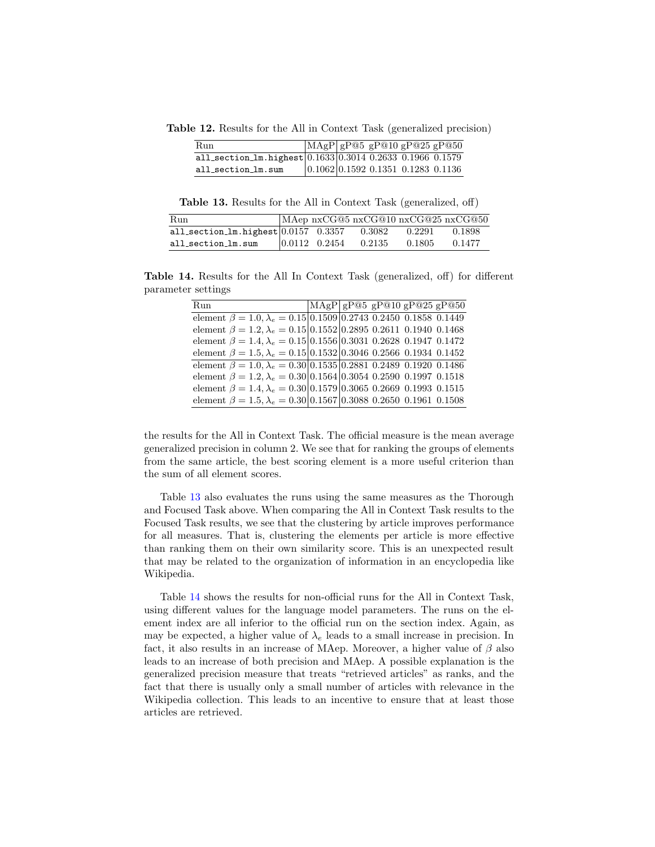Table 12. Results for the All in Context Task (generalized precision)

<span id="page-10-0"></span>

| Run                                                          |  |                                    | MAgP/gP@5 gP@10 gP@25 gP@50 |
|--------------------------------------------------------------|--|------------------------------------|-----------------------------|
| all_section_lm.highest $ 0.1633 0.3014$ 0.2633 0.1966 0.1579 |  |                                    |                             |
| all section lm.sum                                           |  | 0.1062 0.1592 0.1351 0.1283 0.1136 |                             |

<span id="page-10-1"></span>Table 13. Results for the All in Context Task (generalized, off)

| Run                                        |                                | MAep nxCG@5 nxCG@10 nxCG@25 nxCG@50 |        |        |
|--------------------------------------------|--------------------------------|-------------------------------------|--------|--------|
| all_section_1m.highest $ 0.0157 \t0.3357 $ |                                | 0.3082                              | 0.2291 | 0.1898 |
| all_section_lm.sum                         | $\vert 0.0112 \, 0.2454 \vert$ | 0.2135                              | 0.1805 | 0.1477 |

Table 14. Results for the All In Context Task (generalized, off) for different parameter settings

<span id="page-10-2"></span>

| Run                                                                                                 |  | $\vert$ MAgP $\vert$ gP $\omega$ 5 gP $\omega$ 10 gP $\omega$ 25 gP $\omega$ 50 |  |
|-----------------------------------------------------------------------------------------------------|--|---------------------------------------------------------------------------------|--|
| element $\beta = 1.0, \lambda_e = 0.15 \mid 0.1509 \mid 0.2743 \mid 0.2450 \mid 0.1858 \mid 0.1449$ |  |                                                                                 |  |
| element $\beta = 1.2, \lambda_e = 0.15 \mid 0.1552 \mid 0.2895 0.2611 0.1940 0.1468$                |  |                                                                                 |  |
| element $\beta = 1.4, \lambda_e = 0.15 \mid 0.1556 \mid 0.3031 \mid 0.2628 \mid 0.1947 \mid 0.1472$ |  |                                                                                 |  |
| element $\beta = 1.5, \lambda_e = 0.15   0.1532   0.3046 0.2566 0.1934 0.1452$                      |  |                                                                                 |  |
| element $\beta = 1.0, \lambda_e = 0.30   0.1535   0.2881   0.2489   0.1920   0.1486$                |  |                                                                                 |  |
| element $\beta = 1.2, \lambda_e = 0.30   0.1564   0.3054 0.2590 0.1997 0.1518$                      |  |                                                                                 |  |
| element $\beta = 1.4, \lambda_e = 0.30   0.1579   0.3065 0.2669 0.1993 0.1515$                      |  |                                                                                 |  |
| element $\beta = 1.5, \lambda_e = 0.30   0.1567   0.3088 0.2650 0.1961 0.1508$                      |  |                                                                                 |  |

the results for the All in Context Task. The official measure is the mean average generalized precision in column 2. We see that for ranking the groups of elements from the same article, the best scoring element is a more useful criterion than the sum of all element scores.

Table [13](#page-10-1) also evaluates the runs using the same measures as the Thorough and Focused Task above. When comparing the All in Context Task results to the Focused Task results, we see that the clustering by article improves performance for all measures. That is, clustering the elements per article is more effective than ranking them on their own similarity score. This is an unexpected result that may be related to the organization of information in an encyclopedia like Wikipedia.

Table [14](#page-10-2) shows the results for non-official runs for the All in Context Task, using different values for the language model parameters. The runs on the element index are all inferior to the official run on the section index. Again, as may be expected, a higher value of  $\lambda_e$  leads to a small increase in precision. In fact, it also results in an increase of MAep. Moreover, a higher value of  $\beta$  also leads to an increase of both precision and MAep. A possible explanation is the generalized precision measure that treats "retrieved articles" as ranks, and the fact that there is usually only a small number of articles with relevance in the Wikipedia collection. This leads to an incentive to ensure that at least those articles are retrieved.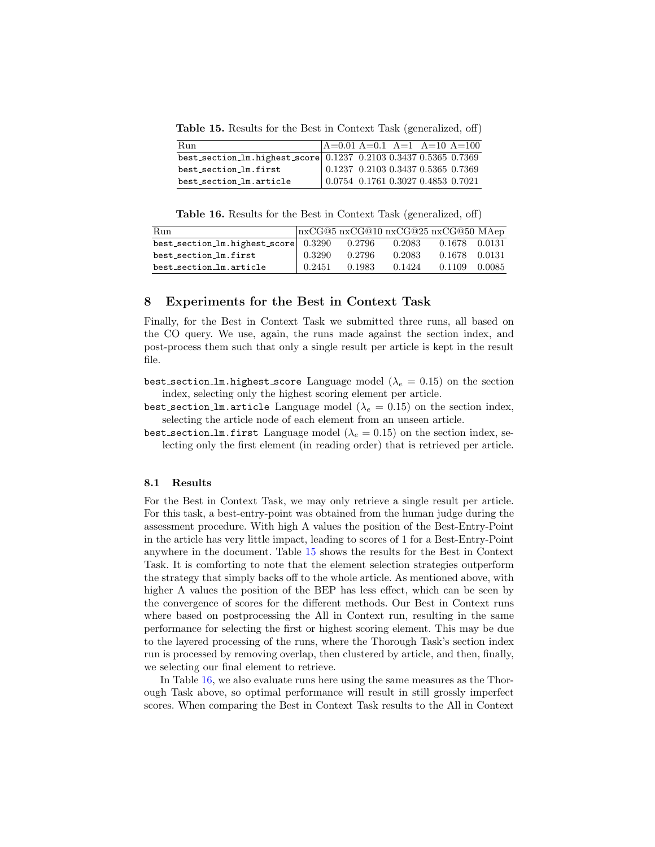<span id="page-11-1"></span>Table 15. Results for the Best in Context Task (generalized, off)

| <b>Run</b>                                                                                                                                                       | $A=0.01 A=0.1 A=1 A=10 A=100$                                                                           |  |  |
|------------------------------------------------------------------------------------------------------------------------------------------------------------------|---------------------------------------------------------------------------------------------------------|--|--|
| $\texttt{best\_section\_lm.highest\_score}\xspace\hspace{1mm} 0.1237 \hspace{1mm} \overline{0.2103 \hspace{1mm} 0.3437 \hspace{1mm} 0.5365 \hspace{1mm} 0.7369}$ |                                                                                                         |  |  |
| best_section_lm.first                                                                                                                                            | $\begin{array}{ c c c c c c c c } \hline 0.1237 & 0.2103 & 0.3437 & 0.5365 & 0.7369 \hline \end{array}$ |  |  |
| best_section_lm.article                                                                                                                                          | $\vert$ 0.0754 0.1761 0.3027 0.4853 0.7021                                                              |  |  |

<span id="page-11-2"></span>Table 16. Results for the Best in Context Task (generalized, off)

| Run                                  |        |        |        | $\ln xCG@5 \text{ n}xCG@10 \text{ n}xCG@25 \text{ n}xCG@50 \text{ MAep}$ |        |
|--------------------------------------|--------|--------|--------|--------------------------------------------------------------------------|--------|
| best_section_1m.highest_score 0.3290 |        | 0.2796 | 0.2083 | 0.1678 0.0131                                                            |        |
| best_section_lm.first                | 0.3290 | 0.2796 | 0.2083 | 0.1678 0.0131                                                            |        |
| best_section_lm.article              | 0.2451 | 0.1983 | 0.1424 | 0.1109                                                                   | 0.0085 |

### <span id="page-11-0"></span>8 Experiments for the Best in Context Task

Finally, for the Best in Context Task we submitted three runs, all based on the CO query. We use, again, the runs made against the section index, and post-process them such that only a single result per article is kept in the result file.

best section lm.highest score Language model ( $\lambda_e = 0.15$ ) on the section index, selecting only the highest scoring element per article.

best section lm.article Language model ( $\lambda_e = 0.15$ ) on the section index, selecting the article node of each element from an unseen article.

best section lm.first Language model ( $\lambda_e = 0.15$ ) on the section index, selecting only the first element (in reading order) that is retrieved per article.

### 8.1 Results

For the Best in Context Task, we may only retrieve a single result per article. For this task, a best-entry-point was obtained from the human judge during the assessment procedure. With high A values the position of the Best-Entry-Point in the article has very little impact, leading to scores of 1 for a Best-Entry-Point anywhere in the document. Table [15](#page-11-1) shows the results for the Best in Context Task. It is comforting to note that the element selection strategies outperform the strategy that simply backs off to the whole article. As mentioned above, with higher A values the position of the BEP has less effect, which can be seen by the convergence of scores for the different methods. Our Best in Context runs where based on postprocessing the All in Context run, resulting in the same performance for selecting the first or highest scoring element. This may be due to the layered processing of the runs, where the Thorough Task's section index run is processed by removing overlap, then clustered by article, and then, finally, we selecting our final element to retrieve.

In Table [16,](#page-11-2) we also evaluate runs here using the same measures as the Thorough Task above, so optimal performance will result in still grossly imperfect scores. When comparing the Best in Context Task results to the All in Context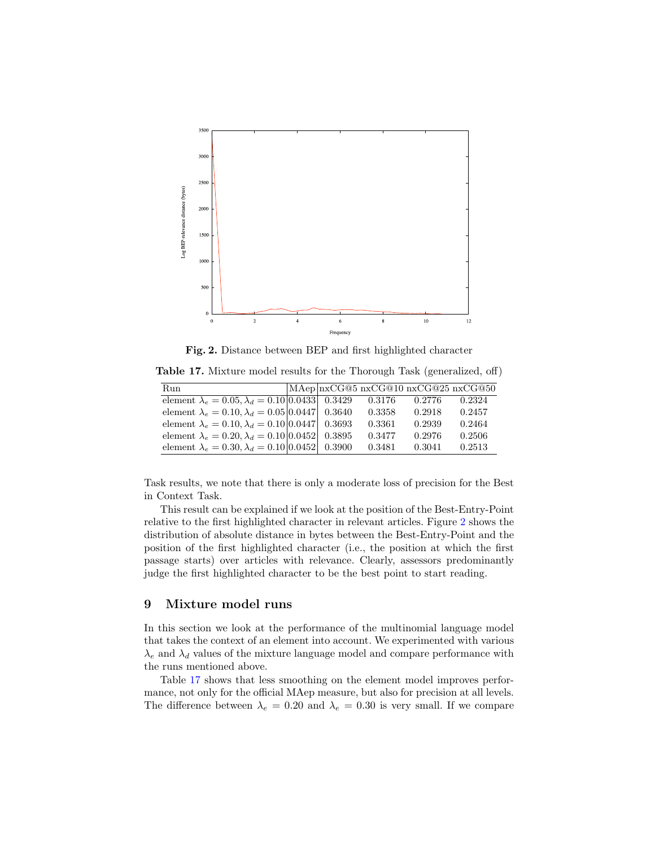

<span id="page-12-2"></span><span id="page-12-1"></span>Fig. 2. Distance between BEP and first highlighted character

Table 17. Mixture model results for the Thorough Task (generalized, off)

| Run                                                            |  |        | MAep nxCG@5 nxCG@10 nxCG@25 nxCG@50 |        |
|----------------------------------------------------------------|--|--------|-------------------------------------|--------|
| element $\lambda_e = 0.05, \lambda_d = 0.10   0.0433   0.3429$ |  | 0.3176 | 0.2776                              | 0.2324 |
| element $\lambda_e = 0.10, \lambda_d = 0.05  0.0447 $ 0.3640   |  | 0.3358 | 0.2918                              | 0.2457 |
| element $\lambda_e = 0.10, \lambda_d = 0.10   0.0447   0.3693$ |  | 0.3361 | 0.2939                              | 0.2464 |
| element $\lambda_e = 0.20, \lambda_d = 0.10   0.0452   0.3895$ |  | 0.3477 | 0.2976                              | 0.2506 |
| element $\lambda_e = 0.30, \lambda_d = 0.10   0.0452   0.3900$ |  | 0.3481 | 0.3041                              | 0.2513 |

Task results, we note that there is only a moderate loss of precision for the Best in Context Task.

This result can be explained if we look at the position of the Best-Entry-Point relative to the first highlighted character in relevant articles. Figure [2](#page-12-1) shows the distribution of absolute distance in bytes between the Best-Entry-Point and the position of the first highlighted character (i.e., the position at which the first passage starts) over articles with relevance. Clearly, assessors predominantly judge the first highlighted character to be the best point to start reading.

## <span id="page-12-0"></span>9 Mixture model runs

In this section we look at the performance of the multinomial language model that takes the context of an element into account. We experimented with various  $\lambda_e$  and  $\lambda_d$  values of the mixture language model and compare performance with the runs mentioned above.

Table [17](#page-12-2) shows that less smoothing on the element model improves performance, not only for the official MAep measure, but also for precision at all levels. The difference between  $\lambda_e = 0.20$  and  $\lambda_e = 0.30$  is very small. If we compare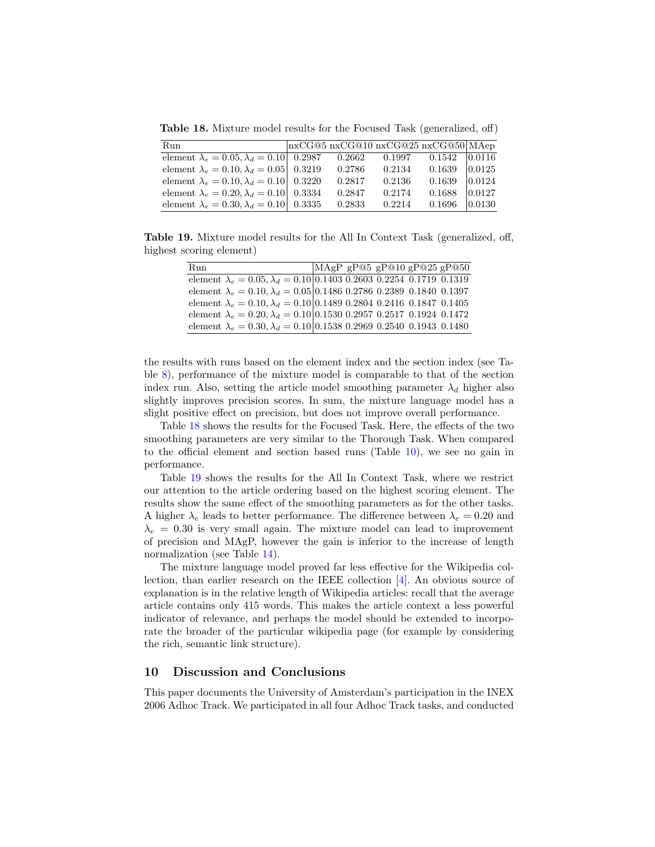<span id="page-13-1"></span>Table 18. Mixture model results for the Focused Task (generalized, off)

| Run                                                   |        |        | $n \times CG@5$ $n \times CG@10$ $n \times CG@25$ $n \times CG@50$ $MAep$ |                  |
|-------------------------------------------------------|--------|--------|---------------------------------------------------------------------------|------------------|
| element $\lambda_e = 0.05, \lambda_d = 0.10$ 0.2987   | 0.2662 | 0.1997 | 0.1542                                                                    | 0.0116           |
| element $\lambda_e = 0.10, \lambda_d = 0.05$ 0.3219   | 0.2786 | 0.2134 | 0.1639                                                                    | 0.0125           |
| element $\lambda_e = 0.10, \lambda_d = 0.10   0.3220$ | 0.2817 | 0.2136 | 0.1639                                                                    | 0.0124           |
| element $\lambda_e = 0.20, \lambda_d = 0.10$ 0.3334   | 0.2847 | 0.2174 | 0.1688                                                                    | 0.0127           |
| element $\lambda_e = 0.30, \lambda_d = 0.10$ 0.3335   | 0.2833 | 0.2214 | 0.1696                                                                    | $ 0.0130\rangle$ |

Table 19. Mixture model results for the All In Context Task (generalized, off, highest scoring element)

<span id="page-13-2"></span>

| Run                                                                                       |  | MAgP gP@5 gP@10 gP@25 gP@50 |  |
|-------------------------------------------------------------------------------------------|--|-----------------------------|--|
| element $\lambda_e = 0.05, \lambda_d = 0.10   0.1403   0.2603   0.2254   0.1719   0.1319$ |  |                             |  |
| element $\lambda_e = 0.10, \lambda_d = 0.05   0.1486 0.2786 0.2389 0.1840 0.1397$         |  |                             |  |
| element $\lambda_e = 0.10, \lambda_d = 0.10   0.1489 0.2804 0.2416 0.1847 0.1405$         |  |                             |  |
| element $\lambda_e = 0.20, \lambda_d = 0.10   0.1530   0.2957   0.2517   0.1924   0.1472$ |  |                             |  |
| element $\lambda_e = 0.30, \lambda_d = 0.10   0.1538 0.2969 0.2540 0.1943 0.1480$         |  |                             |  |

the results with runs based on the element index and the section index (see Table [8\)](#page-6-0), performance of the mixture model is comparable to that of the section index run. Also, setting the article model smoothing parameter  $\lambda_d$  higher also slightly improves precision scores. In sum, the mixture language model has a slight positive effect on precision, but does not improve overall performance.

Table [18](#page-13-1) shows the results for the Focused Task. Here, the effects of the two smoothing parameters are very similar to the Thorough Task. When compared to the official element and section based runs (Table [10\)](#page-8-1), we see no gain in performance.

Table [19](#page-13-2) shows the results for the All In Context Task, where we restrict our attention to the article ordering based on the highest scoring element. The results show the same effect of the smoothing parameters as for the other tasks. A higher  $\lambda_e$  leads to better performance. The difference between  $\lambda_e = 0.20$  and  $\lambda_e = 0.30$  is very small again. The mixture model can lead to improvement of precision and MAgP, however the gain is inferior to the increase of length normalization (see Table [14\)](#page-10-2).

The mixture language model proved far less effective for the Wikipedia collection, than earlier research on the IEEE collection [\[4\]](#page-14-3). An obvious source of explanation is in the relative length of Wikipedia articles: recall that the average article contains only 415 words. This makes the article context a less powerful indicator of relevance, and perhaps the model should be extended to incorporate the broader of the particular wikipedia page (for example by considering the rich, semantic link structure).

# <span id="page-13-0"></span>10 Discussion and Conclusions

This paper documents the University of Amsterdam's participation in the INEX 2006 Adhoc Track. We participated in all four Adhoc Track tasks, and conducted